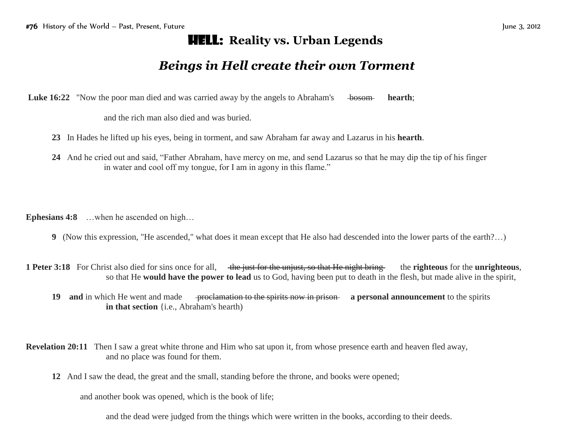## Hell: **Reality vs. Urban Legends**

## *Beings in Hell create their own Torment*

**Luke 16:22** "Now the poor man died and was carried away by the angels to Abraham's bosom **hearth**;

and the rich man also died and was buried.

- **23** In Hades he lifted up his eyes, being in torment, and saw Abraham far away and Lazarus in his **hearth**.
- **24** And he cried out and said, "Father Abraham, have mercy on me, and send Lazarus so that he may dip the tip of his finger in water and cool off my tongue, for I am in agony in this flame."

**Ephesians 4:8** …when he ascended on high…

- **9** (Now this expression, "He ascended," what does it mean except that He also had descended into the lower parts of the earth?…)
- **1 Peter 3:18** For Christ also died for sins once for all, the just for the unjust, so that He night bring the **righteous** for the **unrighteous**, so that He **would have the power to lead** us to God, having been put to death in the flesh, but made alive in the spirit,
	- **19 and** in which He went and made <del>proclamation to the spirits now in prison</del> **a personal announcement** to the spirits **in that section** {i.e., Abraham's hearth)
- **Revelation 20:11** Then I saw a great white throne and Him who sat upon it, from whose presence earth and heaven fled away, and no place was found for them.
	- **12** And I saw the dead, the great and the small, standing before the throne, and books were opened;

and another book was opened, which is the book of life;

and the dead were judged from the things which were written in the books, according to their deeds.